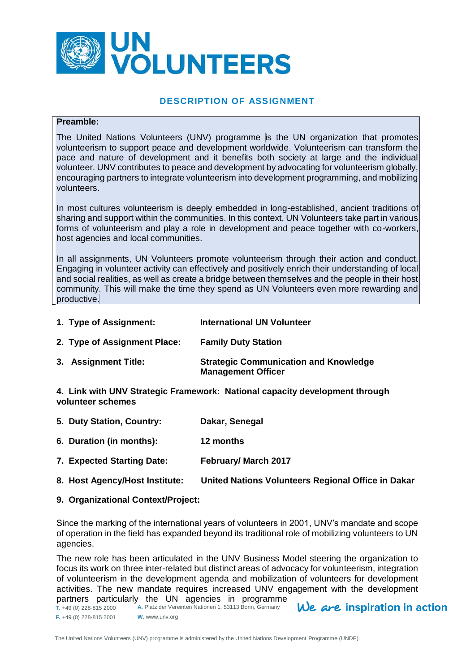

## **DESCRIPTION OF ASSIGNMENT**

#### **Preamble:**

The United Nations Volunteers (UNV) programme is the UN organization that promotes volunteerism to support peace and development worldwide. Volunteerism can transform the pace and nature of development and it benefits both society at large and the individual volunteer. UNV contributes to peace and development by advocating for volunteerism globally, encouraging partners to integrate volunteerism into development programming, and mobilizing volunteers.

In most cultures volunteerism is deeply embedded in long-established, ancient traditions of sharing and support within the communities. In this context, UN Volunteers take part in various forms of volunteerism and play a role in development and peace together with co-workers, host agencies and local communities.

In all assignments, UN Volunteers promote volunteerism through their action and conduct. Engaging in volunteer activity can effectively and positively enrich their understanding of local and social realities, as well as create a bridge between themselves and the people in their host community. This will make the time they spend as UN Volunteers even more rewarding and productive.

| 1. Type of Assignment: | <b>International UN Volunteer</b> |
|------------------------|-----------------------------------|
|------------------------|-----------------------------------|

- **2. Type of Assignment Place: Family Duty Station**
- **3. Assignment Title: Strategic Communication and Knowledge Management Officer**

**4. Link with UNV Strategic Framework: National capacity development through volunteer schemes**

- **5. Duty Station, Country: Dakar, Senegal**
- **6. Duration (in months): 12 months**
- **7. Expected Starting Date: February/ March 2017**
- **8. Host Agency/Host Institute: United Nations Volunteers Regional Office in Dakar**
- **9. Organizational Context/Project:**

Since the marking of the international years of volunteers in 2001, UNV's mandate and scope of operation in the field has expanded beyond its traditional role of mobilizing volunteers to UN agencies.

The new role has been articulated in the UNV Business Model steering the organization to focus its work on three inter-related but distinct areas of advocacy for volunteerism, integration of volunteerism in the development agenda and mobilization of volunteers for development activities. The new mandate requires increased UNV engagement with the development partners particularly the UN agencies in programme

We are inspiration in action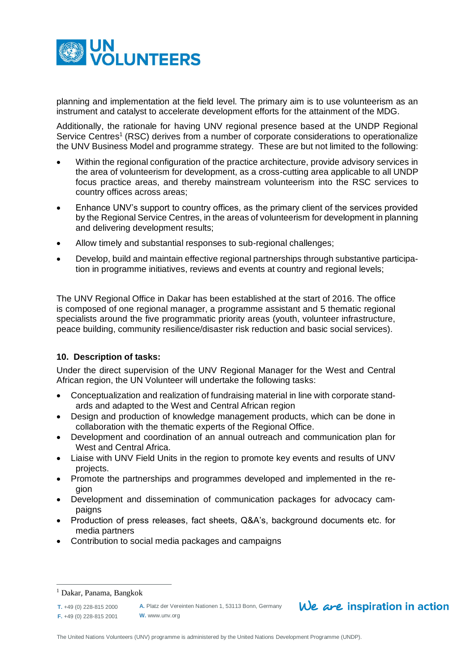

planning and implementation at the field level. The primary aim is to use volunteerism as an instrument and catalyst to accelerate development efforts for the attainment of the MDG.

Additionally, the rationale for having UNV regional presence based at the UNDP Regional Service Centres<sup>1</sup> (RSC) derives from a number of corporate considerations to operationalize the UNV Business Model and programme strategy. These are but not limited to the following:

- Within the regional configuration of the practice architecture, provide advisory services in the area of volunteerism for development, as a cross-cutting area applicable to all UNDP focus practice areas, and thereby mainstream volunteerism into the RSC services to country offices across areas;
- Enhance UNV's support to country offices, as the primary client of the services provided by the Regional Service Centres, in the areas of volunteerism for development in planning and delivering development results;
- Allow timely and substantial responses to sub-regional challenges;
- Develop, build and maintain effective regional partnerships through substantive participation in programme initiatives, reviews and events at country and regional levels;

The UNV Regional Office in Dakar has been established at the start of 2016. The office is composed of one regional manager, a programme assistant and 5 thematic regional specialists around the five programmatic priority areas (youth, volunteer infrastructure, peace building, community resilience/disaster risk reduction and basic social services).

## **10. Description of tasks:**

Under the direct supervision of the UNV Regional Manager for the West and Central African region, the UN Volunteer will undertake the following tasks:

- Conceptualization and realization of fundraising material in line with corporate standards and adapted to the West and Central African region
- Design and production of knowledge management products, which can be done in collaboration with the thematic experts of the Regional Office.
- Development and coordination of an annual outreach and communication plan for West and Central Africa.
- Liaise with UNV Field Units in the region to promote key events and results of UNV projects.
- Promote the partnerships and programmes developed and implemented in the region
- Development and dissemination of communication packages for advocacy campaigns
- Production of press releases, fact sheets, Q&A's, background documents etc. for media partners
- Contribution to social media packages and campaigns

 $\overline{a}$ 

**A.** Platz der Vereinten Nationen 1, 53113 Bonn, Germany **W.** www.unv.org

# $We$  are inspiration in action

<sup>1</sup> Dakar, Panama, Bangkok

**T.** +49 (0) 228-815 2000 **F.** +49 (0) 228-815 2001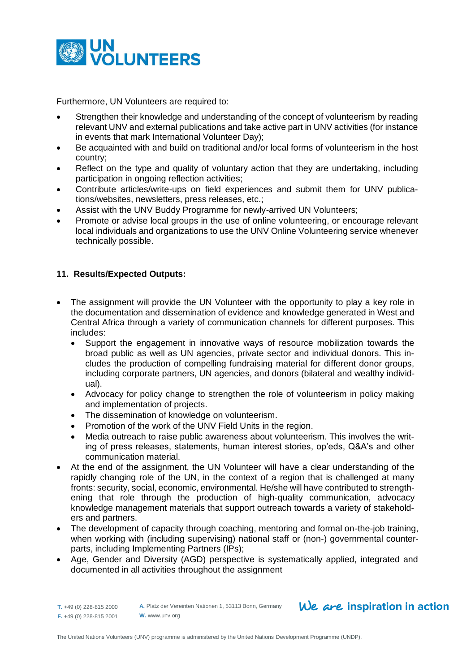

Furthermore, UN Volunteers are required to:

- Strengthen their knowledge and understanding of the concept of volunteerism by reading relevant UNV and external publications and take active part in UNV activities (for instance in events that mark International Volunteer Day);
- Be acquainted with and build on traditional and/or local forms of volunteerism in the host country;
- Reflect on the type and quality of voluntary action that they are undertaking, including participation in ongoing reflection activities;
- Contribute articles/write-ups on field experiences and submit them for UNV publications/websites, newsletters, press releases, etc.;
- Assist with the UNV Buddy Programme for newly-arrived UN Volunteers;
- Promote or advise local groups in the use of online volunteering, or encourage relevant local individuals and organizations to use the UNV Online Volunteering service whenever technically possible.

## **11. Results/Expected Outputs:**

- The assignment will provide the UN Volunteer with the opportunity to play a key role in the documentation and dissemination of evidence and knowledge generated in West and Central Africa through a variety of communication channels for different purposes. This includes:
	- Support the engagement in innovative ways of resource mobilization towards the broad public as well as UN agencies, private sector and individual donors. This includes the production of compelling fundraising material for different donor groups, including corporate partners, UN agencies, and donors (bilateral and wealthy individual).
	- Advocacy for policy change to strengthen the role of volunteerism in policy making and implementation of projects.
	- The dissemination of knowledge on volunteerism.
	- Promotion of the work of the UNV Field Units in the region.
	- Media outreach to raise public awareness about volunteerism. This involves the writing of press releases, statements, human interest stories, op'eds, Q&A's and other communication material.
- At the end of the assignment, the UN Volunteer will have a clear understanding of the rapidly changing role of the UN, in the context of a region that is challenged at many fronts: security, social, economic, environmental. He/she will have contributed to strengthening that role through the production of high-quality communication, advocacy knowledge management materials that support outreach towards a variety of stakeholders and partners.
- The development of capacity through coaching, mentoring and formal on-the-job training, when working with (including supervising) national staff or (non-) governmental counterparts, including Implementing Partners (IPs);
- Age, Gender and Diversity (AGD) perspective is systematically applied, integrated and documented in all activities throughout the assignment
- **T.** +49 (0) 228-815 2000 **F.** +49 (0) 228-815 2001

**A.** Platz der Vereinten Nationen 1, 53113 Bonn, Germany **W.** www.unv.org

# $We$  are inspiration in action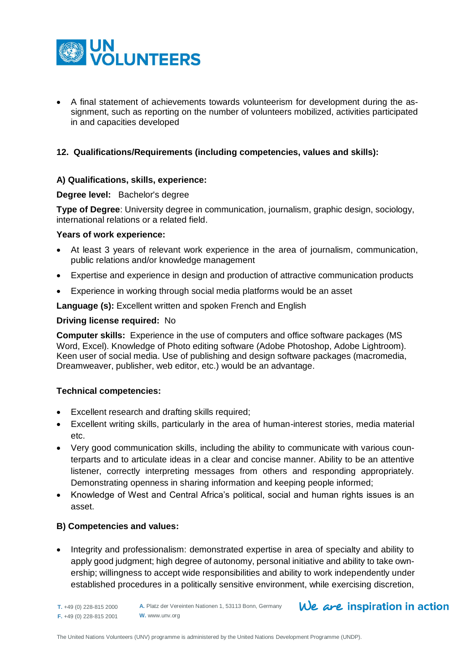

 A final statement of achievements towards volunteerism for development during the assignment, such as reporting on the number of volunteers mobilized, activities participated in and capacities developed

### **12. Qualifications/Requirements (including competencies, values and skills):**

#### **A) Qualifications, skills, experience:**

#### **Degree level:** Bachelor's degree

**Type of Degree**: University degree in communication, journalism, graphic design, sociology, international relations or a related field.

#### **Years of work experience:**

- At least 3 years of relevant work experience in the area of journalism, communication, public relations and/or knowledge management
- Expertise and experience in design and production of attractive communication products
- Experience in working through social media platforms would be an asset

**Language (s):** Excellent written and spoken French and English

#### **Driving license required:** No

**Computer skills:** Experience in the use of computers and office software packages (MS Word, Excel). Knowledge of Photo editing software (Adobe Photoshop, Adobe Lightroom). Keen user of social media. Use of publishing and design software packages (macromedia, Dreamweaver, publisher, web editor, etc.) would be an advantage.

## **Technical competencies:**

- Excellent research and drafting skills required;
- Excellent writing skills, particularly in the area of human-interest stories, media material etc.
- Very good communication skills, including the ability to communicate with various counterparts and to articulate ideas in a clear and concise manner. Ability to be an attentive listener, correctly interpreting messages from others and responding appropriately. Demonstrating openness in sharing information and keeping people informed;
- Knowledge of West and Central Africa's political, social and human rights issues is an asset.

## **B) Competencies and values:**

• Integrity and professionalism: demonstrated expertise in area of specialty and ability to apply good judgment; high degree of autonomy, personal initiative and ability to take ownership; willingness to accept wide responsibilities and ability to work independently under established procedures in a politically sensitive environment, while exercising discretion,

# $We$  are inspiration in action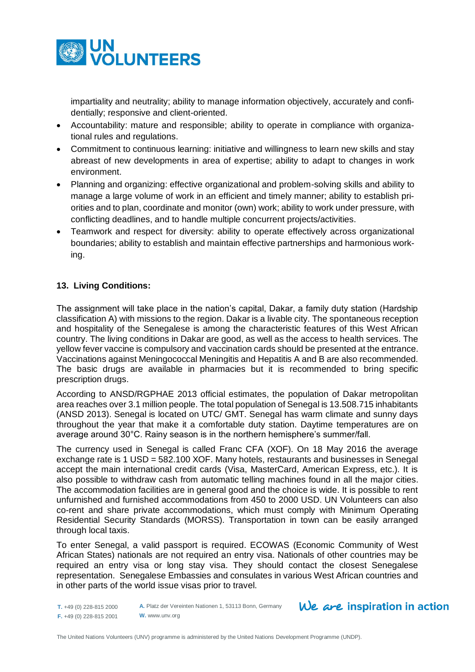

impartiality and neutrality; ability to manage information objectively, accurately and confidentially; responsive and client-oriented.

- Accountability: mature and responsible; ability to operate in compliance with organizational rules and regulations.
- Commitment to continuous learning: initiative and willingness to learn new skills and stay abreast of new developments in area of expertise; ability to adapt to changes in work environment.
- Planning and organizing: effective organizational and problem-solving skills and ability to manage a large volume of work in an efficient and timely manner; ability to establish priorities and to plan, coordinate and monitor (own) work; ability to work under pressure, with conflicting deadlines, and to handle multiple concurrent projects/activities.
- Teamwork and respect for diversity: ability to operate effectively across organizational boundaries; ability to establish and maintain effective partnerships and harmonious working.

# **13. Living Conditions:**

The assignment will take place in the nation's capital, Dakar, a family duty station (Hardship classification A) with missions to the region. Dakar is a livable city. The spontaneous reception and hospitality of the Senegalese is among the characteristic features of this West African country. The living conditions in Dakar are good, as well as the access to health services. The yellow fever vaccine is compulsory and vaccination cards should be presented at the entrance. Vaccinations against Meningococcal Meningitis and Hepatitis A and B are also recommended. The basic drugs are available in pharmacies but it is recommended to bring specific prescription drugs.

According to ANSD/RGPHAE 2013 official estimates, the population of Dakar metropolitan area reaches over 3.1 million people. The total population of Senegal is 13.508.715 inhabitants (ANSD 2013). Senegal is located on UTC/ GMT. Senegal has warm climate and sunny days throughout the year that make it a comfortable duty station. Daytime temperatures are on average around 30°C. Rainy season is in the northern hemisphere's summer/fall.

The currency used in Senegal is called Franc CFA (XOF). On 18 May 2016 the average exchange rate is 1 USD = 582.100 XOF. Many hotels, restaurants and businesses in Senegal accept the main international credit cards (Visa, MasterCard, American Express, etc.). It is also possible to withdraw cash from automatic telling machines found in all the major cities. The accommodation facilities are in general good and the choice is wide. It is possible to rent unfurnished and furnished accommodations from 450 to 2000 USD. UN Volunteers can also co-rent and share private accommodations, which must comply with Minimum Operating Residential Security Standards (MORSS). Transportation in town can be easily arranged through local taxis.

To enter Senegal, a valid passport is required. ECOWAS (Economic Community of West African States) nationals are not required an entry visa. Nationals of other countries may be required an entry visa or long stay visa. They should contact the closest Senegalese representation. Senegalese Embassies and consulates in various West African countries and in other parts of the world issue visas prior to travel.

**T.** +49 (0) 228-815 2000 **F.** +49 (0) 228-815 2001

**A.** Platz der Vereinten Nationen 1, 53113 Bonn, Germany **W.** www.unv.org

# $We$  are inspiration in action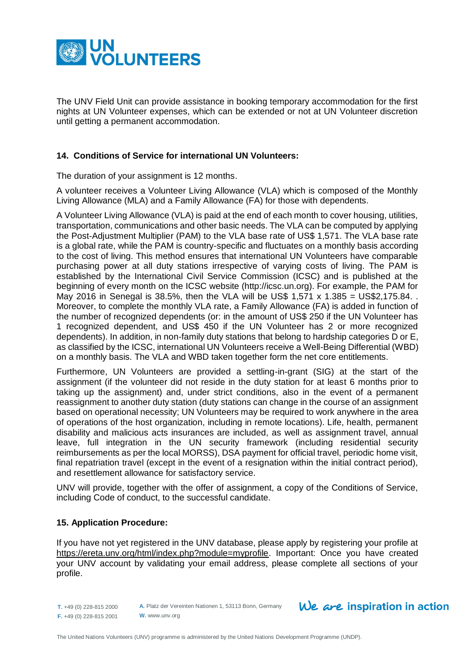

The UNV Field Unit can provide assistance in booking temporary accommodation for the first nights at UN Volunteer expenses, which can be extended or not at UN Volunteer discretion until getting a permanent accommodation.

#### **14. Conditions of Service for international UN Volunteers:**

The duration of your assignment is 12 months.

A volunteer receives a Volunteer Living Allowance (VLA) which is composed of the Monthly Living Allowance (MLA) and a Family Allowance (FA) for those with dependents.

A Volunteer Living Allowance (VLA) is paid at the end of each month to cover housing, utilities, transportation, communications and other basic needs. The VLA can be computed by applying the Post-Adjustment Multiplier (PAM) to the VLA base rate of US\$ 1,571. The VLA base rate is a global rate, while the PAM is country-specific and fluctuates on a monthly basis according to the cost of living. This method ensures that international UN Volunteers have comparable purchasing power at all duty stations irrespective of varying costs of living. The PAM is established by the International Civil Service Commission (ICSC) and is published at the beginning of every month on the ICSC website (http://icsc.un.org). For example, the PAM for May 2016 in Senegal is 38.5%, then the VLA will be US\$ 1,571 x 1.385 = US\$2,175.84. . Moreover, to complete the monthly VLA rate, a Family Allowance (FA) is added in function of the number of recognized dependents (or: in the amount of US\$ 250 if the UN Volunteer has 1 recognized dependent, and US\$ 450 if the UN Volunteer has 2 or more recognized dependents). In addition, in non-family duty stations that belong to hardship categories D or E, as classified by the ICSC, international UN Volunteers receive a Well-Being Differential (WBD) on a monthly basis. The VLA and WBD taken together form the net core entitlements.

Furthermore, UN Volunteers are provided a settling-in-grant (SIG) at the start of the assignment (if the volunteer did not reside in the duty station for at least 6 months prior to taking up the assignment) and, under strict conditions, also in the event of a permanent reassignment to another duty station (duty stations can change in the course of an assignment based on operational necessity; UN Volunteers may be required to work anywhere in the area of operations of the host organization, including in remote locations). Life, health, permanent disability and malicious acts insurances are included, as well as assignment travel, annual leave, full integration in the UN security framework (including residential security reimbursements as per the local MORSS), DSA payment for official travel, periodic home visit, final repatriation travel (except in the event of a resignation within the initial contract period), and resettlement allowance for satisfactory service.

UNV will provide, together with the offer of assignment, a copy of the Conditions of Service, including Code of conduct, to the successful candidate.

#### **15. Application Procedure:**

If you have not yet registered in the UNV database, please apply by registering your profile at [https://ereta.unv.org/html/index.php?module=myprofile.](https://ereta.unv.org/html/index.php?module=myprofile) Important: Once you have created your UNV account by validating your email address, please complete all sections of your profile.

**T.** +49 (0) 228-815 2000 **F.** +49 (0) 228-815 2001

**A.** Platz der Vereinten Nationen 1, 53113 Bonn, Germany **W.** www.unv.org

# $We$  are inspiration in action